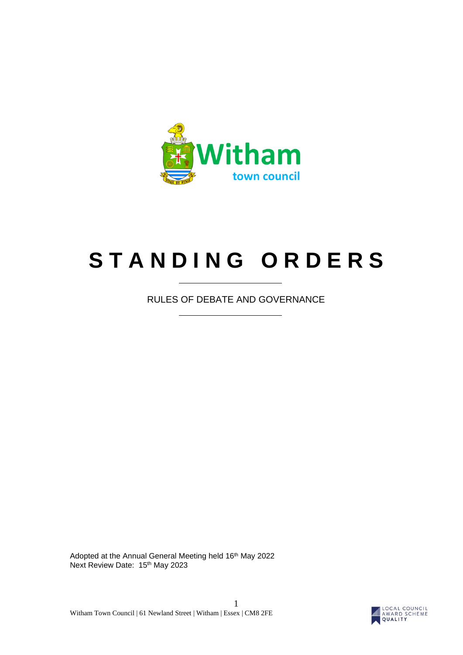

# **S T A N D I N G O R D E R S**

RULES OF DEBATE AND GOVERNANCE

Adopted at the Annual General Meeting held 16<sup>th</sup> May 2022 Next Review Date: 15th May 2023

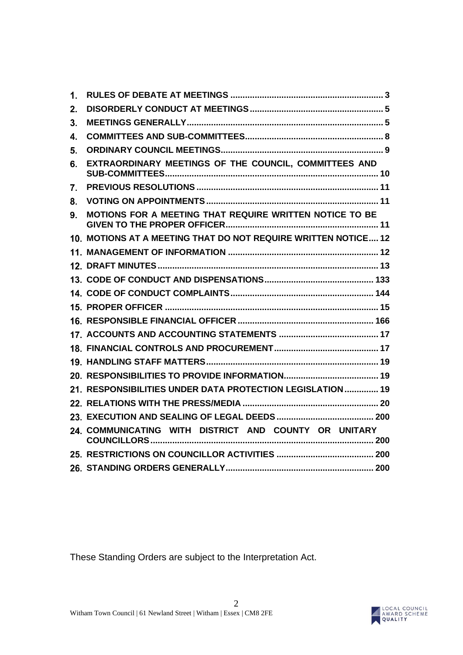| $\mathbf{1}$ . |                                                                |
|----------------|----------------------------------------------------------------|
| 2.             |                                                                |
| 3.             |                                                                |
| 4.             |                                                                |
| 5.             |                                                                |
| 6.             | EXTRAORDINARY MEETINGS OF THE COUNCIL, COMMITTEES AND          |
| 7.             |                                                                |
| 8.             |                                                                |
| 9.             | MOTIONS FOR A MEETING THAT REQUIRE WRITTEN NOTICE TO BE        |
|                | 10. MOTIONS AT A MEETING THAT DO NOT REQUIRE WRITTEN NOTICE 12 |
|                |                                                                |
|                |                                                                |
|                |                                                                |
|                |                                                                |
|                |                                                                |
|                |                                                                |
|                |                                                                |
|                |                                                                |
|                |                                                                |
|                |                                                                |
|                | 21. RESPONSIBILITIES UNDER DATA PROTECTION LEGISLATION 19      |
|                |                                                                |
|                |                                                                |
|                | 24. COMMUNICATING WITH DISTRICT AND COUNTY OR UNITARY          |
|                |                                                                |
|                |                                                                |

These Standing Orders are subject to the Interpretation Act.

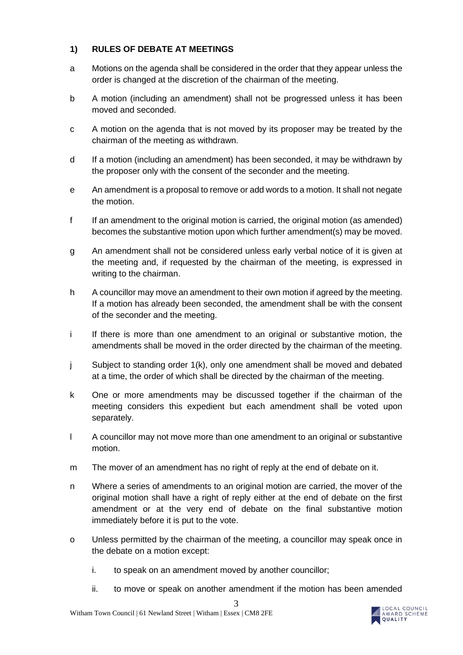# <span id="page-2-0"></span>**1) RULES OF DEBATE AT MEETINGS**

- a Motions on the agenda shall be considered in the order that they appear unless the order is changed at the discretion of the chairman of the meeting.
- b A motion (including an amendment) shall not be progressed unless it has been moved and seconded.
- c A motion on the agenda that is not moved by its proposer may be treated by the chairman of the meeting as withdrawn.
- d If a motion (including an amendment) has been seconded, it may be withdrawn by the proposer only with the consent of the seconder and the meeting.
- e An amendment is a proposal to remove or add words to a motion. It shall not negate the motion.
- f If an amendment to the original motion is carried, the original motion (as amended) becomes the substantive motion upon which further amendment(s) may be moved.
- g An amendment shall not be considered unless early verbal notice of it is given at the meeting and, if requested by the chairman of the meeting, is expressed in writing to the chairman.
- h A councillor may move an amendment to their own motion if agreed by the meeting. If a motion has already been seconded, the amendment shall be with the consent of the seconder and the meeting.
- i If there is more than one amendment to an original or substantive motion, the amendments shall be moved in the order directed by the chairman of the meeting.
- j Subject to standing order 1(k), only one amendment shall be moved and debated at a time, the order of which shall be directed by the chairman of the meeting.
- k One or more amendments may be discussed together if the chairman of the meeting considers this expedient but each amendment shall be voted upon separately.
- l A councillor may not move more than one amendment to an original or substantive motion.
- m The mover of an amendment has no right of reply at the end of debate on it.
- n Where a series of amendments to an original motion are carried, the mover of the original motion shall have a right of reply either at the end of debate on the first amendment or at the very end of debate on the final substantive motion immediately before it is put to the vote.
- o Unless permitted by the chairman of the meeting, a councillor may speak once in the debate on a motion except:
	- i. to speak on an amendment moved by another councillor;
	- ii. to move or speak on another amendment if the motion has been amended

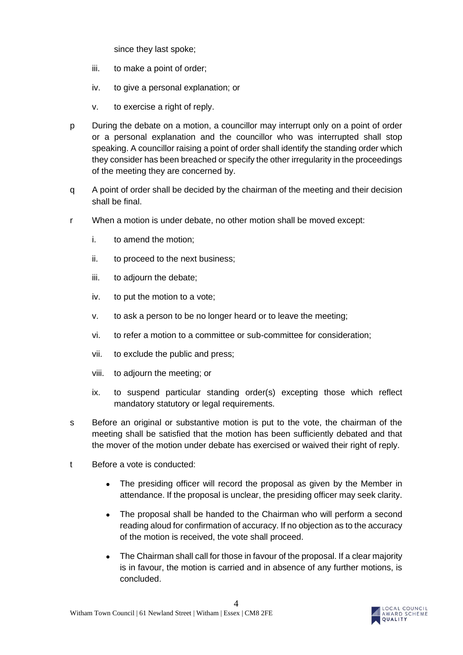since they last spoke;

- iii. to make a point of order;
- iv. to give a personal explanation; or
- v. to exercise a right of reply.
- p During the debate on a motion, a councillor may interrupt only on a point of order or a personal explanation and the councillor who was interrupted shall stop speaking. A councillor raising a point of order shall identify the standing order which they consider has been breached or specify the other irregularity in the proceedings of the meeting they are concerned by.
- q A point of order shall be decided by the chairman of the meeting and their decision shall be final.
- r When a motion is under debate, no other motion shall be moved except:
	- i. to amend the motion;
	- ii. to proceed to the next business;
	- iii. to adjourn the debate;
	- iv. to put the motion to a vote;
	- v. to ask a person to be no longer heard or to leave the meeting;
	- vi. to refer a motion to a committee or sub-committee for consideration;
	- vii. to exclude the public and press;
	- viii. to adjourn the meeting; or
	- ix. to suspend particular standing order(s) excepting those which reflect mandatory statutory or legal requirements.
- s Before an original or substantive motion is put to the vote, the chairman of the meeting shall be satisfied that the motion has been sufficiently debated and that the mover of the motion under debate has exercised or waived their right of reply.
- t Before a vote is conducted:
	- The presiding officer will record the proposal as given by the Member in attendance. If the proposal is unclear, the presiding officer may seek clarity.
	- The proposal shall be handed to the Chairman who will perform a second reading aloud for confirmation of accuracy. If no objection as to the accuracy of the motion is received, the vote shall proceed.
	- The Chairman shall call for those in favour of the proposal. If a clear majority is in favour, the motion is carried and in absence of any further motions, is concluded.

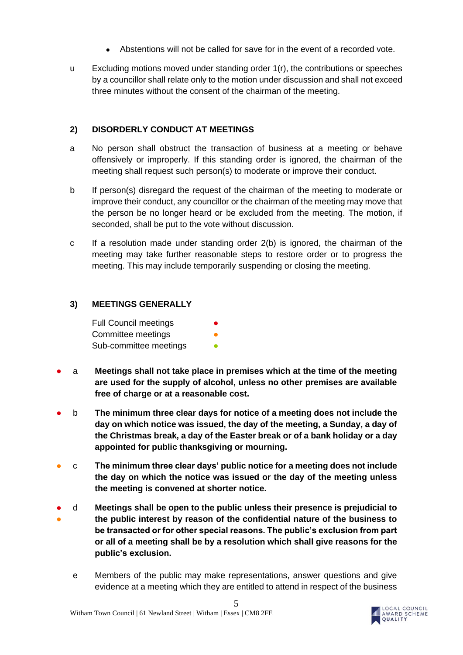- Abstentions will not be called for save for in the event of a recorded vote.
- u Excluding motions moved under standing order 1(r), the contributions or speeches by a councillor shall relate only to the motion under discussion and shall not exceed three minutes without the consent of the chairman of the meeting.

#### <span id="page-4-0"></span>**2) DISORDERLY CONDUCT AT MEETINGS**

- a No person shall obstruct the transaction of business at a meeting or behave offensively or improperly. If this standing order is ignored, the chairman of the meeting shall request such person(s) to moderate or improve their conduct.
- b If person(s) disregard the request of the chairman of the meeting to moderate or improve their conduct, any councillor or the chairman of the meeting may move that the person be no longer heard or be excluded from the meeting. The motion, if seconded, shall be put to the vote without discussion.
- c If a resolution made under standing order 2(b) is ignored, the chairman of the meeting may take further reasonable steps to restore order or to progress the meeting. This may include temporarily suspending or closing the meeting.

## <span id="page-4-1"></span>**3) MEETINGS GENERALLY**

| <b>Full Council meetings</b> |  |
|------------------------------|--|
| Committee meetings           |  |
| Sub-committee meetings       |  |

- a **Meetings shall not take place in premises which at the time of the meeting are used for the supply of alcohol, unless no other premises are available free of charge or at a reasonable cost.**
- b **The minimum three clear days for notice of a meeting does not include the day on which notice was issued, the day of the meeting, a Sunday, a day of the Christmas break, a day of the Easter break or of a bank holiday or a day appointed for public thanksgiving or mourning.**
- c **The minimum three clear days' public notice for a meeting does not include the day on which the notice was issued or the day of the meeting unless the meeting is convened at shorter notice.**
- ● d **Meetings shall be open to the public unless their presence is prejudicial to the public interest by reason of the confidential nature of the business to be transacted or for other special reasons. The public's exclusion from part or all of a meeting shall be by a resolution which shall give reasons for the public's exclusion.**
	- e Members of the public may make representations, answer questions and give evidence at a meeting which they are entitled to attend in respect of the business

5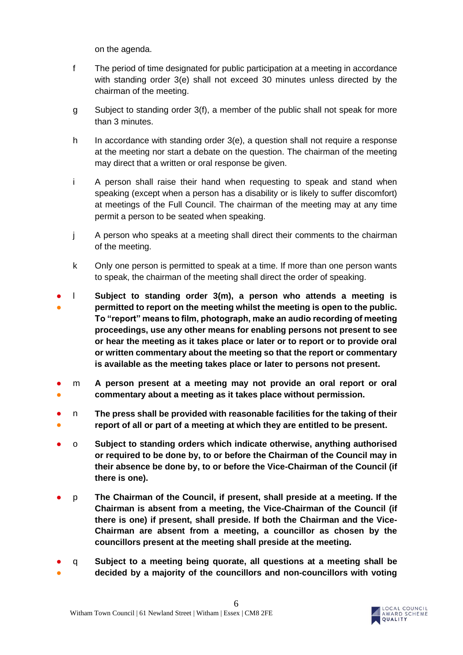on the agenda.

- f The period of time designated for public participation at a meeting in accordance with standing order 3(e) shall not exceed 30 minutes unless directed by the chairman of the meeting.
- g Subject to standing order 3(f), a member of the public shall not speak for more than 3 minutes.
- h In accordance with standing order 3(e), a question shall not require a response at the meeting nor start a debate on the question. The chairman of the meeting may direct that a written or oral response be given.
- i A person shall raise their hand when requesting to speak and stand when speaking (except when a person has a disability or is likely to suffer discomfort) at meetings of the Full Council. The chairman of the meeting may at any time permit a person to be seated when speaking.
- j A person who speaks at a meeting shall direct their comments to the chairman of the meeting.
- k Only one person is permitted to speak at a time. If more than one person wants to speak, the chairman of the meeting shall direct the order of speaking.
- ● l **Subject to standing order 3(m), a person who attends a meeting is permitted to report on the meeting whilst the meeting is open to the public. To "report" means to film, photograph, make an audio recording of meeting proceedings, use any other means for enabling persons not present to see or hear the meeting as it takes place or later or to report or to provide oral or written commentary about the meeting so that the report or commentary is available as the meeting takes place or later to persons not present.**
- ● m **A person present at a meeting may not provide an oral report or oral commentary about a meeting as it takes place without permission.**
- ● n **The press shall be provided with reasonable facilities for the taking of their report of all or part of a meeting at which they are entitled to be present.**
- o **Subject to standing orders which indicate otherwise, anything authorised or required to be done by, to or before the Chairman of the Council may in their absence be done by, to or before the Vice-Chairman of the Council (if there is one).**
- p **The Chairman of the Council, if present, shall preside at a meeting. If the Chairman is absent from a meeting, the Vice-Chairman of the Council (if there is one) if present, shall preside. If both the Chairman and the Vice-Chairman are absent from a meeting, a councillor as chosen by the councillors present at the meeting shall preside at the meeting.**
- ● q **Subject to a meeting being quorate, all questions at a meeting shall be decided by a majority of the councillors and non-councillors with voting**

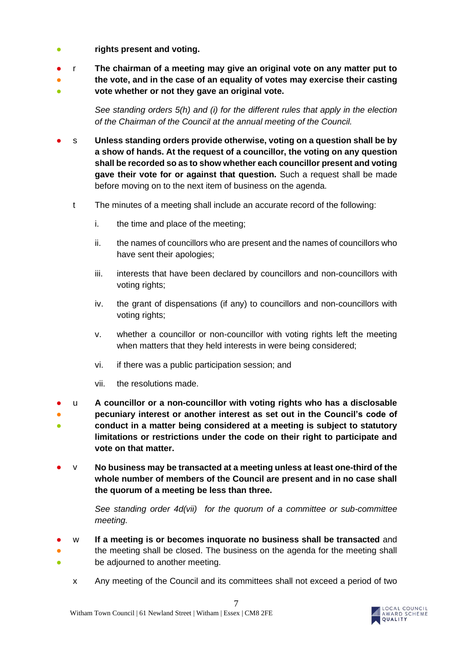- **rights present and voting.**
- r **The chairman of a meeting may give an original vote on any matter put to**
- ● **the vote, and in the case of an equality of votes may exercise their casting vote whether or not they gave an original vote.**

*See standing orders 5(h) and (i) for the different rules that apply in the election of the Chairman of the Council at the annual meeting of the Council.*

- s **Unless standing orders provide otherwise, voting on a question shall be by a show of hands. At the request of a councillor, the voting on any question shall be recorded so as to show whether each councillor present and voting gave their vote for or against that question.** Such a request shall be made before moving on to the next item of business on the agenda.
	- t The minutes of a meeting shall include an accurate record of the following:
		- i. the time and place of the meeting;
		- ii. the names of councillors who are present and the names of councillors who have sent their apologies;
		- iii. interests that have been declared by councillors and non-councillors with voting rights;
		- iv. the grant of dispensations (if any) to councillors and non-councillors with voting rights;
		- v. whether a councillor or non-councillor with voting rights left the meeting when matters that they held interests in were being considered;
		- vi. if there was a public participation session; and
		- vii. the resolutions made.
- ● ● u **A councillor or a non-councillor with voting rights who has a disclosable pecuniary interest or another interest as set out in the Council's code of conduct in a matter being considered at a meeting is subject to statutory limitations or restrictions under the code on their right to participate and vote on that matter.**
- v **No business may be transacted at a meeting unless at least one-third of the whole number of members of the Council are present and in no case shall the quorum of a meeting be less than three.**

*See standing order 4d(vii) for the quorum of a committee or sub-committee meeting.* 

- ● ● w **If a meeting is or becomes inquorate no business shall be transacted** and the meeting shall be closed. The business on the agenda for the meeting shall be adjourned to another meeting.
	- x Any meeting of the Council and its committees shall not exceed a period of two

7

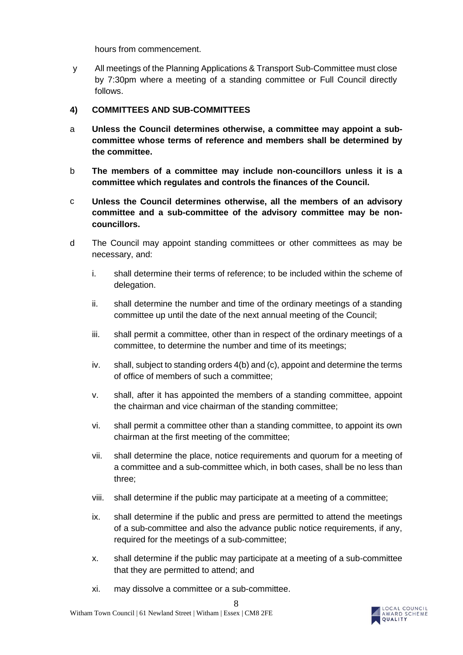hours from commencement.

y All meetings of the Planning Applications & Transport Sub-Committee must close by 7:30pm where a meeting of a standing committee or Full Council directly follows.

#### <span id="page-7-0"></span>**4) COMMITTEES AND SUB-COMMITTEES**

- a **Unless the Council determines otherwise, a committee may appoint a subcommittee whose terms of reference and members shall be determined by the committee.**
- b **The members of a committee may include non-councillors unless it is a committee which regulates and controls the finances of the Council.**
- c **Unless the Council determines otherwise, all the members of an advisory committee and a sub-committee of the advisory committee may be noncouncillors.**
- d The Council may appoint standing committees or other committees as may be necessary, and:
	- i. shall determine their terms of reference; to be included within the scheme of delegation.
	- ii. shall determine the number and time of the ordinary meetings of a standing committee up until the date of the next annual meeting of the Council;
	- iii. shall permit a committee, other than in respect of the ordinary meetings of a committee, to determine the number and time of its meetings;
	- iv. shall, subject to standing orders 4(b) and (c), appoint and determine the terms of office of members of such a committee;
	- v. shall, after it has appointed the members of a standing committee, appoint the chairman and vice chairman of the standing committee;
	- vi. shall permit a committee other than a standing committee, to appoint its own chairman at the first meeting of the committee;
	- vii. shall determine the place, notice requirements and quorum for a meeting of a committee and a sub-committee which, in both cases, shall be no less than three;
	- viii. shall determine if the public may participate at a meeting of a committee;
	- ix. shall determine if the public and press are permitted to attend the meetings of a sub-committee and also the advance public notice requirements, if any, required for the meetings of a sub-committee;
	- x. shall determine if the public may participate at a meeting of a sub-committee that they are permitted to attend; and
	- xi. may dissolve a committee or a sub-committee.

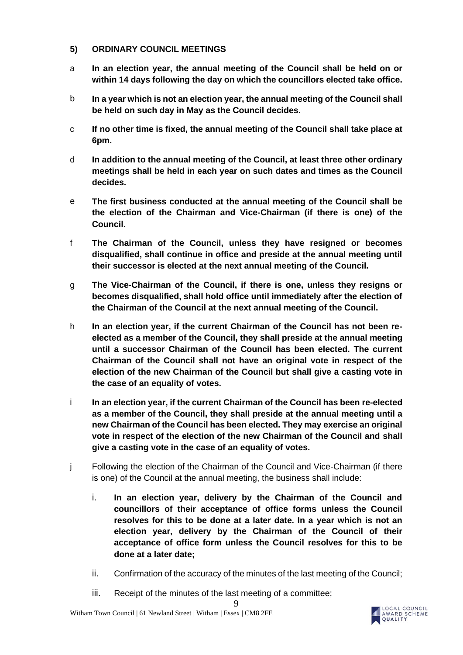#### <span id="page-8-0"></span>**5) ORDINARY COUNCIL MEETINGS**

- a **In an election year, the annual meeting of the Council shall be held on or within 14 days following the day on which the councillors elected take office.**
- b **In a year which is not an election year, the annual meeting of the Council shall be held on such day in May as the Council decides.**
- c **If no other time is fixed, the annual meeting of the Council shall take place at 6pm.**
- d **In addition to the annual meeting of the Council, at least three other ordinary meetings shall be held in each year on such dates and times as the Council decides.**
- e **The first business conducted at the annual meeting of the Council shall be the election of the Chairman and Vice-Chairman (if there is one) of the Council.**
- f **The Chairman of the Council, unless they have resigned or becomes disqualified, shall continue in office and preside at the annual meeting until their successor is elected at the next annual meeting of the Council.**
- g **The Vice-Chairman of the Council, if there is one, unless they resigns or becomes disqualified, shall hold office until immediately after the election of the Chairman of the Council at the next annual meeting of the Council.**
- h **In an election year, if the current Chairman of the Council has not been reelected as a member of the Council, they shall preside at the annual meeting until a successor Chairman of the Council has been elected. The current Chairman of the Council shall not have an original vote in respect of the election of the new Chairman of the Council but shall give a casting vote in the case of an equality of votes.**
- i **In an election year, if the current Chairman of the Council has been re-elected as a member of the Council, they shall preside at the annual meeting until a new Chairman of the Council has been elected. They may exercise an original vote in respect of the election of the new Chairman of the Council and shall give a casting vote in the case of an equality of votes.**
- j Following the election of the Chairman of the Council and Vice-Chairman (if there is one) of the Council at the annual meeting, the business shall include:
	- i. **In an election year, delivery by the Chairman of the Council and councillors of their acceptance of office forms unless the Council resolves for this to be done at a later date. In a year which is not an election year, delivery by the Chairman of the Council of their acceptance of office form unless the Council resolves for this to be done at a later date;**
	- ii. Confirmation of the accuracy of the minutes of the last meeting of the Council;
	- iii. Receipt of the minutes of the last meeting of a committee;

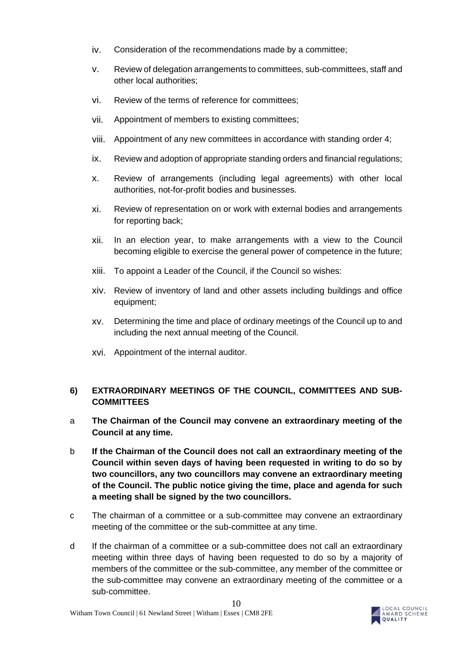- iv. Consideration of the recommendations made by a committee;
- v. Review of delegation arrangements to committees, sub-committees, staff and other local authorities;
- vi. Review of the terms of reference for committees;
- vii. Appointment of members to existing committees;
- viii. Appointment of any new committees in accordance with standing order 4;
- ix. Review and adoption of appropriate standing orders and financial regulations;
- x. Review of arrangements (including legal agreements) with other local authorities, not-for-profit bodies and businesses.
- xi. Review of representation on or work with external bodies and arrangements for reporting back;
- xii. In an election year, to make arrangements with a view to the Council becoming eligible to exercise the general power of competence in the future;
- xiii. To appoint a Leader of the Council, if the Council so wishes:
- xiv. Review of inventory of land and other assets including buildings and office equipment;
- xv. Determining the time and place of ordinary meetings of the Council up to and including the next annual meeting of the Council.
- xvi. Appointment of the internal auditor.

# <span id="page-9-0"></span>**6) EXTRAORDINARY MEETINGS OF THE COUNCIL, COMMITTEES AND SUB-COMMITTEES**

- a **The Chairman of the Council may convene an extraordinary meeting of the Council at any time.**
- b **If the Chairman of the Council does not call an extraordinary meeting of the Council within seven days of having been requested in writing to do so by two councillors, any two councillors may convene an extraordinary meeting of the Council. The public notice giving the time, place and agenda for such a meeting shall be signed by the two councillors.**
- c The chairman of a committee or a sub-committee may convene an extraordinary meeting of the committee or the sub-committee at any time.
- d If the chairman of a committee or a sub-committee does not call an extraordinary meeting within three days of having been requested to do so by a majority of members of the committee or the sub-committee, any member of the committee or the sub-committee may convene an extraordinary meeting of the committee or a sub-committee.

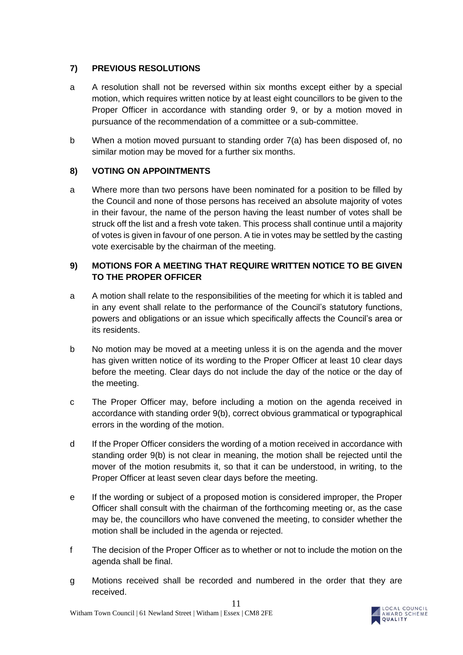# <span id="page-10-0"></span>**7) PREVIOUS RESOLUTIONS**

- a A resolution shall not be reversed within six months except either by a special motion, which requires written notice by at least eight councillors to be given to the Proper Officer in accordance with standing order 9, or by a motion moved in pursuance of the recommendation of a committee or a sub-committee.
- b When a motion moved pursuant to standing order 7(a) has been disposed of, no similar motion may be moved for a further six months.

## <span id="page-10-1"></span>**8) VOTING ON APPOINTMENTS**

a Where more than two persons have been nominated for a position to be filled by the Council and none of those persons has received an absolute majority of votes in their favour, the name of the person having the least number of votes shall be struck off the list and a fresh vote taken. This process shall continue until a majority of votes is given in favour of one person. A tie in votes may be settled by the casting vote exercisable by the chairman of the meeting.

# <span id="page-10-2"></span>**9) MOTIONS FOR A MEETING THAT REQUIRE WRITTEN NOTICE TO BE GIVEN TO THE PROPER OFFICER**

- a A motion shall relate to the responsibilities of the meeting for which it is tabled and in any event shall relate to the performance of the Council's statutory functions, powers and obligations or an issue which specifically affects the Council's area or its residents.
- b No motion may be moved at a meeting unless it is on the agenda and the mover has given written notice of its wording to the Proper Officer at least 10 clear days before the meeting. Clear days do not include the day of the notice or the day of the meeting.
- c The Proper Officer may, before including a motion on the agenda received in accordance with standing order 9(b), correct obvious grammatical or typographical errors in the wording of the motion.
- d If the Proper Officer considers the wording of a motion received in accordance with standing order 9(b) is not clear in meaning, the motion shall be rejected until the mover of the motion resubmits it, so that it can be understood, in writing, to the Proper Officer at least seven clear days before the meeting.
- e If the wording or subject of a proposed motion is considered improper, the Proper Officer shall consult with the chairman of the forthcoming meeting or, as the case may be, the councillors who have convened the meeting, to consider whether the motion shall be included in the agenda or rejected.
- f The decision of the Proper Officer as to whether or not to include the motion on the agenda shall be final.
- g Motions received shall be recorded and numbered in the order that they are received.

11

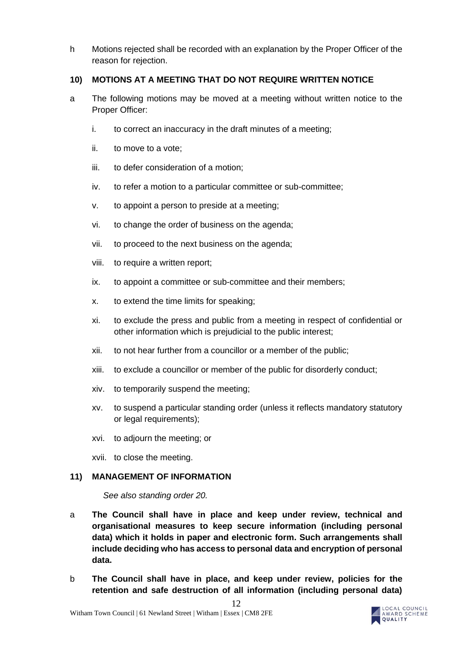h Motions rejected shall be recorded with an explanation by the Proper Officer of the reason for rejection.

#### <span id="page-11-0"></span>**10) MOTIONS AT A MEETING THAT DO NOT REQUIRE WRITTEN NOTICE**

- a The following motions may be moved at a meeting without written notice to the Proper Officer:
	- i. to correct an inaccuracy in the draft minutes of a meeting;
	- ii. to move to a vote;
	- iii. to defer consideration of a motion;
	- iv. to refer a motion to a particular committee or sub-committee;
	- v. to appoint a person to preside at a meeting;
	- vi. to change the order of business on the agenda;
	- vii. to proceed to the next business on the agenda;
	- viii. to require a written report;
	- ix. to appoint a committee or sub-committee and their members;
	- x. to extend the time limits for speaking;
	- xi. to exclude the press and public from a meeting in respect of confidential or other information which is prejudicial to the public interest;
	- xii. to not hear further from a councillor or a member of the public;
	- xiii. to exclude a councillor or member of the public for disorderly conduct;
	- xiv. to temporarily suspend the meeting;
	- xv. to suspend a particular standing order (unless it reflects mandatory statutory or legal requirements);
	- xvi. to adjourn the meeting; or
	- xvii. to close the meeting.

#### <span id="page-11-1"></span>**11) MANAGEMENT OF INFORMATION**

*See also standing order 20.*

- a **The Council shall have in place and keep under review, technical and organisational measures to keep secure information (including personal data) which it holds in paper and electronic form. Such arrangements shall include deciding who has access to personal data and encryption of personal data.**
- b **The Council shall have in place, and keep under review, policies for the retention and safe destruction of all information (including personal data)**

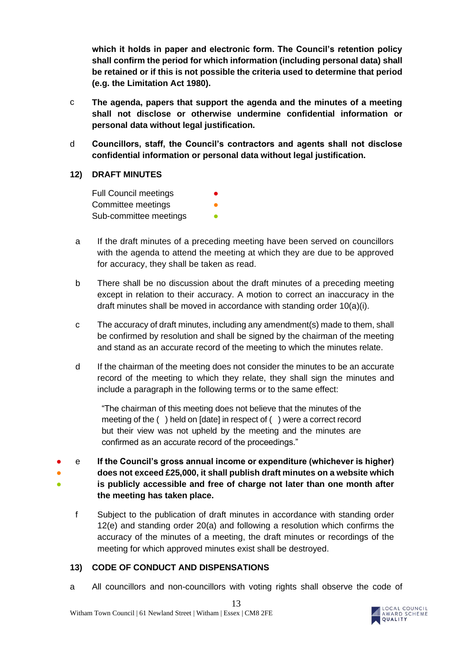**which it holds in paper and electronic form. The Council's retention policy shall confirm the period for which information (including personal data) shall be retained or if this is not possible the criteria used to determine that period (e.g. the Limitation Act 1980).**

- c **The agenda, papers that support the agenda and the minutes of a meeting shall not disclose or otherwise undermine confidential information or personal data without legal justification.**
- d **Councillors, staff, the Council's contractors and agents shall not disclose confidential information or personal data without legal justification.**

#### <span id="page-12-0"></span>**12) DRAFT MINUTES**

**Full Council meetings** Committee meetings Sub-committee meetings **•** 

- a If the draft minutes of a preceding meeting have been served on councillors with the agenda to attend the meeting at which they are due to be approved for accuracy, they shall be taken as read.
- b There shall be no discussion about the draft minutes of a preceding meeting except in relation to their accuracy. A motion to correct an inaccuracy in the draft minutes shall be moved in accordance with standing order 10(a)(i).
- c The accuracy of draft minutes, including any amendment(s) made to them, shall be confirmed by resolution and shall be signed by the chairman of the meeting and stand as an accurate record of the meeting to which the minutes relate.
- d If the chairman of the meeting does not consider the minutes to be an accurate record of the meeting to which they relate, they shall sign the minutes and include a paragraph in the following terms or to the same effect:

"The chairman of this meeting does not believe that the minutes of the meeting of the ( ) held on [date] in respect of ( ) were a correct record but their view was not upheld by the meeting and the minutes are confirmed as an accurate record of the proceedings."

- ● ● e **If the Council's gross annual income or expenditure (whichever is higher) does not exceed £25,000, it shall publish draft minutes on a website which is publicly accessible and free of charge not later than one month after the meeting has taken place.**
	- f Subject to the publication of draft minutes in accordance with standing order 12(e) and standing order 20(a) and following a resolution which confirms the accuracy of the minutes of a meeting, the draft minutes or recordings of the meeting for which approved minutes exist shall be destroyed.

## <span id="page-12-1"></span>**13) CODE OF CONDUCT AND DISPENSATIONS**

a All councillors and non-councillors with voting rights shall observe the code of

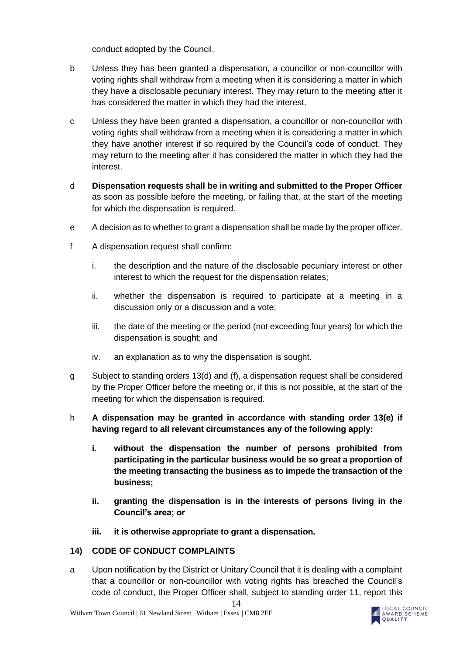conduct adopted by the Council.

- b Unless they has been granted a dispensation, a councillor or non-councillor with voting rights shall withdraw from a meeting when it is considering a matter in which they have a disclosable pecuniary interest. They may return to the meeting after it has considered the matter in which they had the interest.
- c Unless they have been granted a dispensation, a councillor or non-councillor with voting rights shall withdraw from a meeting when it is considering a matter in which they have another interest if so required by the Council's code of conduct. They may return to the meeting after it has considered the matter in which they had the interest.
- d **Dispensation requests shall be in writing and submitted to the Proper Officer** as soon as possible before the meeting, or failing that, at the start of the meeting for which the dispensation is required.
- e A decision as to whether to grant a dispensation shall be made by the proper officer.
- f A dispensation request shall confirm:
	- i. the description and the nature of the disclosable pecuniary interest or other interest to which the request for the dispensation relates;
	- ii. whether the dispensation is required to participate at a meeting in a discussion only or a discussion and a vote;
	- iii. the date of the meeting or the period (not exceeding four years) for which the dispensation is sought; and
	- iv. an explanation as to why the dispensation is sought.
- g Subject to standing orders 13(d) and (f), a dispensation request shall be considered by the Proper Officer before the meeting or, if this is not possible, at the start of the meeting for which the dispensation is required.

# h **A dispensation may be granted in accordance with standing order 13(e) if having regard to all relevant circumstances any of the following apply:**

- **i. without the dispensation the number of persons prohibited from participating in the particular business would be so great a proportion of the meeting transacting the business as to impede the transaction of the business;**
- **ii. granting the dispensation is in the interests of persons living in the Council's area; or**
- **iii. it is otherwise appropriate to grant a dispensation.**

## <span id="page-13-0"></span>**14) CODE OF CONDUCT COMPLAINTS**

a Upon notification by the District or Unitary Council that it is dealing with a complaint that a councillor or non-councillor with voting rights has breached the Council's code of conduct, the Proper Officer shall, subject to standing order 11, report this

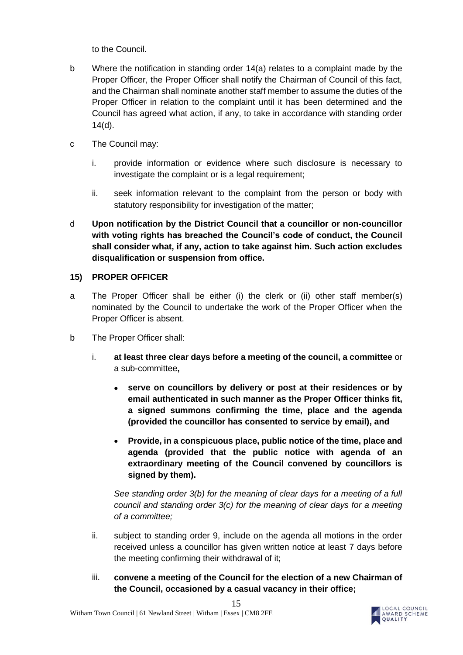to the Council.

- b Where the notification in standing order 14(a) relates to a complaint made by the Proper Officer, the Proper Officer shall notify the Chairman of Council of this fact, and the Chairman shall nominate another staff member to assume the duties of the Proper Officer in relation to the complaint until it has been determined and the Council has agreed what action, if any, to take in accordance with standing order 14(d).
- c The Council may:
	- i. provide information or evidence where such disclosure is necessary to investigate the complaint or is a legal requirement;
	- ii. seek information relevant to the complaint from the person or body with statutory responsibility for investigation of the matter;
- d **Upon notification by the District Council that a councillor or non-councillor with voting rights has breached the Council's code of conduct, the Council shall consider what, if any, action to take against him. Such action excludes disqualification or suspension from office.**

## <span id="page-14-0"></span>**15) PROPER OFFICER**

- a The Proper Officer shall be either (i) the clerk or (ii) other staff member(s) nominated by the Council to undertake the work of the Proper Officer when the Proper Officer is absent.
- b The Proper Officer shall:
	- i. **at least three clear days before a meeting of the council, a committee** or a sub-committee**,**
		- **serve on councillors by delivery or post at their residences or by email authenticated in such manner as the Proper Officer thinks fit, a signed summons confirming the time, place and the agenda (provided the councillor has consented to service by email), and**
		- **Provide, in a conspicuous place, public notice of the time, place and agenda (provided that the public notice with agenda of an extraordinary meeting of the Council convened by councillors is signed by them).**

*See standing order 3(b) for the meaning of clear days for a meeting of a full council and standing order 3(c) for the meaning of clear days for a meeting of a committee;*

- ii. subject to standing order 9, include on the agenda all motions in the order received unless a councillor has given written notice at least 7 days before the meeting confirming their withdrawal of it;
- iii. **convene a meeting of the Council for the election of a new Chairman of the Council, occasioned by a casual vacancy in their office;**

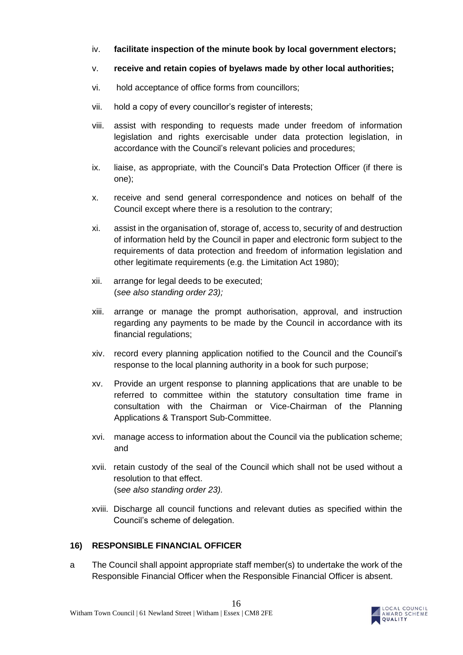- iv. **facilitate inspection of the minute book by local government electors;**
- v. **receive and retain copies of byelaws made by other local authorities;**
- vi. hold acceptance of office forms from councillors;
- vii. hold a copy of every councillor's register of interests;
- viii. assist with responding to requests made under freedom of information legislation and rights exercisable under data protection legislation, in accordance with the Council's relevant policies and procedures;
- ix. liaise, as appropriate, with the Council's Data Protection Officer (if there is one);
- x. receive and send general correspondence and notices on behalf of the Council except where there is a resolution to the contrary;
- xi. assist in the organisation of, storage of, access to, security of and destruction of information held by the Council in paper and electronic form subject to the requirements of data protection and freedom of information legislation and other legitimate requirements (e.g. the Limitation Act 1980);
- xii. arrange for legal deeds to be executed; (*see also standing order 23);*
- xiii. arrange or manage the prompt authorisation, approval, and instruction regarding any payments to be made by the Council in accordance with its financial regulations;
- xiv. record every planning application notified to the Council and the Council's response to the local planning authority in a book for such purpose;
- xv. Provide an urgent response to planning applications that are unable to be referred to committee within the statutory consultation time frame in consultation with the Chairman or Vice-Chairman of the Planning Applications & Transport Sub-Committee.
- xvi. manage access to information about the Council via the publication scheme; and
- xvii. retain custody of the seal of the Council which shall not be used without a resolution to that effect. (s*ee also standing order 23).*
- xviii. Discharge all council functions and relevant duties as specified within the Council's scheme of delegation.

## <span id="page-15-0"></span>**16) RESPONSIBLE FINANCIAL OFFICER**

a The Council shall appoint appropriate staff member(s) to undertake the work of the Responsible Financial Officer when the Responsible Financial Officer is absent.

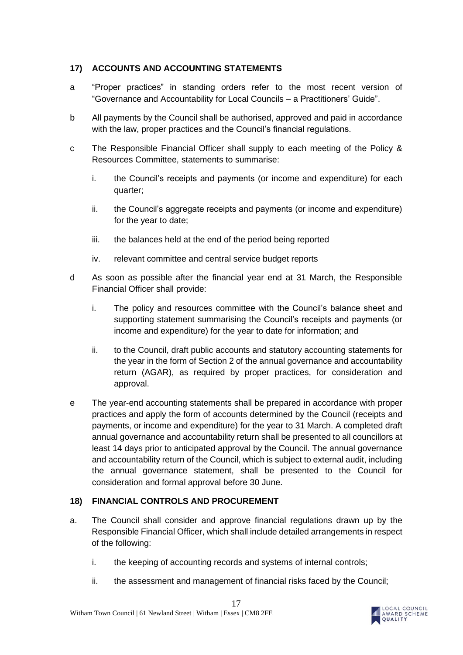# <span id="page-16-0"></span>**17) ACCOUNTS AND ACCOUNTING STATEMENTS**

- a "Proper practices" in standing orders refer to the most recent version of "Governance and Accountability for Local Councils – a Practitioners' Guide".
- b All payments by the Council shall be authorised, approved and paid in accordance with the law, proper practices and the Council's financial regulations.
- c The Responsible Financial Officer shall supply to each meeting of the Policy & Resources Committee, statements to summarise:
	- i. the Council's receipts and payments (or income and expenditure) for each quarter;
	- ii. the Council's aggregate receipts and payments (or income and expenditure) for the year to date;
	- iii. the balances held at the end of the period being reported
	- iv. relevant committee and central service budget reports
- d As soon as possible after the financial year end at 31 March, the Responsible Financial Officer shall provide:
	- i. The policy and resources committee with the Council's balance sheet and supporting statement summarising the Council's receipts and payments (or income and expenditure) for the year to date for information; and
	- ii. to the Council, draft public accounts and statutory accounting statements for the year in the form of Section 2 of the annual governance and accountability return (AGAR), as required by proper practices, for consideration and approval.
- e The year-end accounting statements shall be prepared in accordance with proper practices and apply the form of accounts determined by the Council (receipts and payments, or income and expenditure) for the year to 31 March. A completed draft annual governance and accountability return shall be presented to all councillors at least 14 days prior to anticipated approval by the Council. The annual governance and accountability return of the Council, which is subject to external audit, including the annual governance statement, shall be presented to the Council for consideration and formal approval before 30 June.

## <span id="page-16-1"></span>**18) FINANCIAL CONTROLS AND PROCUREMENT**

- a. The Council shall consider and approve financial regulations drawn up by the Responsible Financial Officer, which shall include detailed arrangements in respect of the following:
	- i. the keeping of accounting records and systems of internal controls;
	- ii. the assessment and management of financial risks faced by the Council;

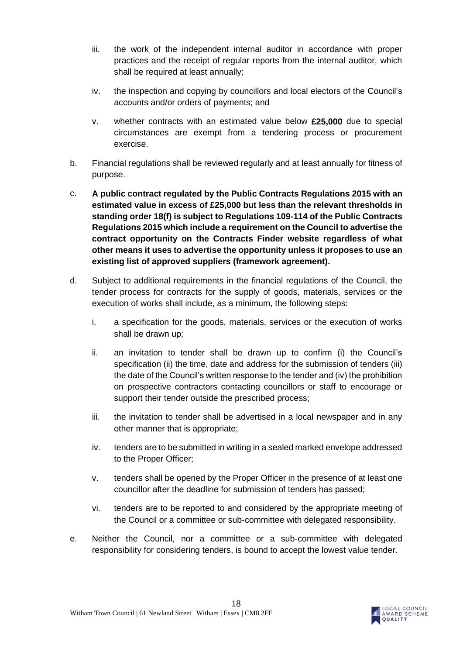- iii. the work of the independent internal auditor in accordance with proper practices and the receipt of regular reports from the internal auditor, which shall be required at least annually;
- iv. the inspection and copying by councillors and local electors of the Council's accounts and/or orders of payments; and
- v. whether contracts with an estimated value below **£25,000** due to special circumstances are exempt from a tendering process or procurement exercise.
- b. Financial regulations shall be reviewed regularly and at least annually for fitness of purpose.
- c. **A public contract regulated by the Public Contracts Regulations 2015 with an estimated value in excess of £25,000 but less than the relevant thresholds in standing order 18(f) is subject to Regulations 109-114 of the Public Contracts Regulations 2015 which include a requirement on the Council to advertise the contract opportunity on the Contracts Finder website regardless of what other means it uses to advertise the opportunity unless it proposes to use an existing list of approved suppliers (framework agreement).**
- d. Subject to additional requirements in the financial regulations of the Council, the tender process for contracts for the supply of goods, materials, services or the execution of works shall include, as a minimum, the following steps:
	- i. a specification for the goods, materials, services or the execution of works shall be drawn up;
	- ii. an invitation to tender shall be drawn up to confirm (i) the Council's specification (ii) the time, date and address for the submission of tenders (iii) the date of the Council's written response to the tender and (iv) the prohibition on prospective contractors contacting councillors or staff to encourage or support their tender outside the prescribed process;
	- iii. the invitation to tender shall be advertised in a local newspaper and in any other manner that is appropriate;
	- iv. tenders are to be submitted in writing in a sealed marked envelope addressed to the Proper Officer;
	- v. tenders shall be opened by the Proper Officer in the presence of at least one councillor after the deadline for submission of tenders has passed;
	- vi. tenders are to be reported to and considered by the appropriate meeting of the Council or a committee or sub-committee with delegated responsibility.
- e. Neither the Council, nor a committee or a sub-committee with delegated responsibility for considering tenders, is bound to accept the lowest value tender.

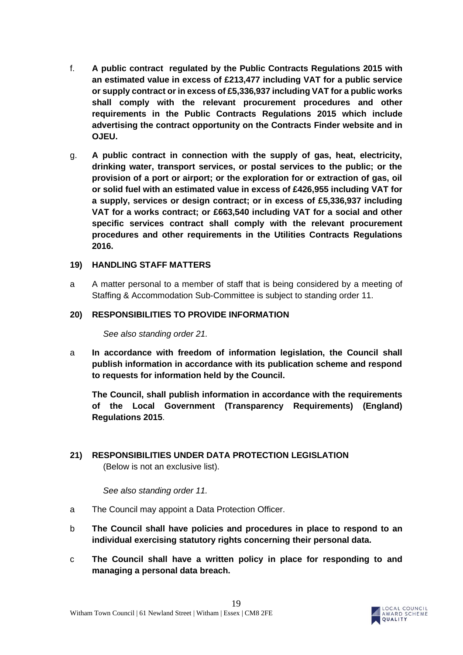- f. **A public contract regulated by the Public Contracts Regulations 2015 with an estimated value in excess of £213,477 including VAT for a public service or supply contract or in excess of £5,336,937 including VAT for a public works shall comply with the relevant procurement procedures and other requirements in the Public Contracts Regulations 2015 which include advertising the contract opportunity on the Contracts Finder website and in OJEU.**
- g. **A public contract in connection with the supply of gas, heat, electricity, drinking water, transport services, or postal services to the public; or the provision of a port or airport; or the exploration for or extraction of gas, oil or solid fuel with an estimated value in excess of £426,955 including VAT for a supply, services or design contract; or in excess of £5,336,937 including VAT for a works contract; or £663,540 including VAT for a social and other specific services contract shall comply with the relevant procurement procedures and other requirements in the Utilities Contracts Regulations 2016.**

#### <span id="page-18-0"></span>**19) HANDLING STAFF MATTERS**

a A matter personal to a member of staff that is being considered by a meeting of Staffing & Accommodation Sub-Committee is subject to standing order 11.

#### <span id="page-18-1"></span>**20) RESPONSIBILITIES TO PROVIDE INFORMATION**

*See also standing order 21.*

a **In accordance with freedom of information legislation, the Council shall publish information in accordance with its publication scheme and respond to requests for information held by the Council.**

**The Council, shall publish information in accordance with the requirements of the Local Government (Transparency Requirements) (England) Regulations 2015**.

<span id="page-18-2"></span>**21) RESPONSIBILITIES UNDER DATA PROTECTION LEGISLATION**  (Below is not an exclusive list).

*See also standing order 11.*

- a The Council may appoint a Data Protection Officer.
- b **The Council shall have policies and procedures in place to respond to an individual exercising statutory rights concerning their personal data.**
- c **The Council shall have a written policy in place for responding to and managing a personal data breach.**

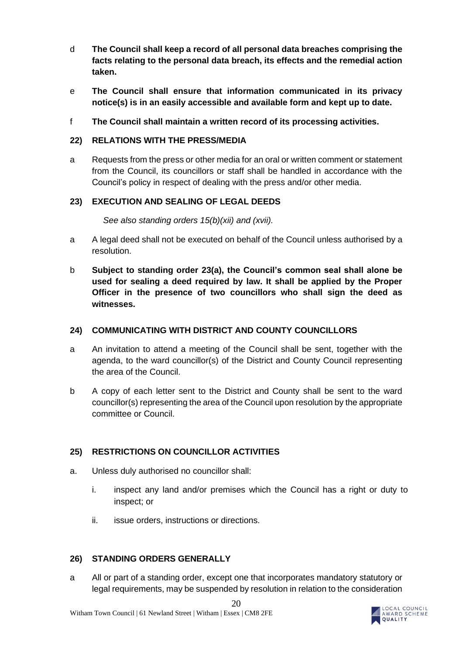- d **The Council shall keep a record of all personal data breaches comprising the facts relating to the personal data breach, its effects and the remedial action taken.**
- e **The Council shall ensure that information communicated in its privacy notice(s) is in an easily accessible and available form and kept up to date.**
- f **The Council shall maintain a written record of its processing activities.**

#### <span id="page-19-0"></span>**22) RELATIONS WITH THE PRESS/MEDIA**

a Requests from the press or other media for an oral or written comment or statement from the Council, its councillors or staff shall be handled in accordance with the Council's policy in respect of dealing with the press and/or other media.

## <span id="page-19-1"></span>**23) EXECUTION AND SEALING OF LEGAL DEEDS**

#### *See also standing orders 15(b)(xii) and (xvii).*

- a A legal deed shall not be executed on behalf of the Council unless authorised by a resolution.
- b **Subject to standing order 23(a), the Council's common seal shall alone be used for sealing a deed required by law. It shall be applied by the Proper Officer in the presence of two councillors who shall sign the deed as witnesses.**

#### <span id="page-19-2"></span>**24) COMMUNICATING WITH DISTRICT AND COUNTY COUNCILLORS**

- a An invitation to attend a meeting of the Council shall be sent, together with the agenda, to the ward councillor(s) of the District and County Council representing the area of the Council.
- b A copy of each letter sent to the District and County shall be sent to the ward councillor(s) representing the area of the Council upon resolution by the appropriate committee or Council.

## <span id="page-19-3"></span>**25) RESTRICTIONS ON COUNCILLOR ACTIVITIES**

- a. Unless duly authorised no councillor shall:
	- i. inspect any land and/or premises which the Council has a right or duty to inspect; or
	- ii. issue orders, instructions or directions.

## <span id="page-19-4"></span>**26) STANDING ORDERS GENERALLY**

a All or part of a standing order, except one that incorporates mandatory statutory or legal requirements, may be suspended by resolution in relation to the consideration